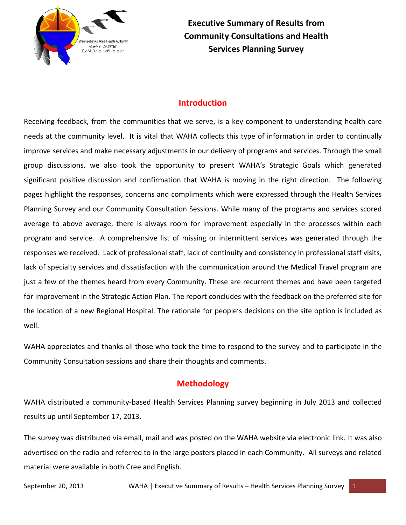

**Executive Summary of Results from Community Consultations and Health Services Planning Survey**

# **Introduction**

Receiving feedback, from the communities that we serve, is a key component to understanding health care needs at the community level. It is vital that WAHA collects this type of information in order to continually improve services and make necessary adjustments in our delivery of programs and services. Through the small group discussions, we also took the opportunity to present WAHA's Strategic Goals which generated significant positive discussion and confirmation that WAHA is moving in the right direction. The following pages highlight the responses, concerns and compliments which were expressed through the Health Services Planning Survey and our Community Consultation Sessions. While many of the programs and services scored average to above average, there is always room for improvement especially in the processes within each program and service. A comprehensive list of missing or intermittent services was generated through the responses we received. Lack of professional staff, lack of continuity and consistency in professional staff visits, lack of specialty services and dissatisfaction with the communication around the Medical Travel program are just a few of the themes heard from every Community. These are recurrent themes and have been targeted for improvement in the Strategic Action Plan. The report concludes with the feedback on the preferred site for the location of a new Regional Hospital. The rationale for people's decisions on the site option is included as well.

WAHA appreciates and thanks all those who took the time to respond to the survey and to participate in the Community Consultation sessions and share their thoughts and comments.

# **Methodology**

WAHA distributed a community-based Health Services Planning survey beginning in July 2013 and collected results up until September 17, 2013.

The survey was distributed via email, mail and was posted on the WAHA website via electronic link. It was also advertised on the radio and referred to in the large posters placed in each Community. All surveys and related material were available in both Cree and English.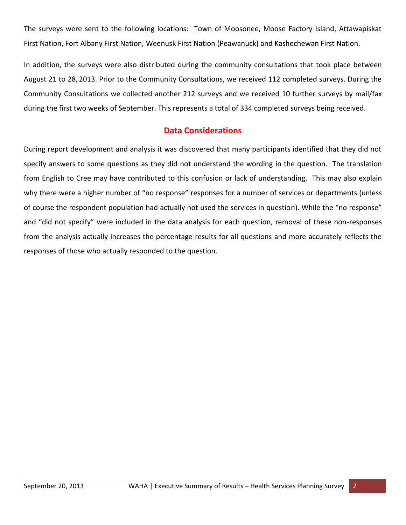The surveys were sent to the following locations: Town of Moosonee, Moose Factory Island, Attawapiskat First Nation, Fort Albany First Nation, Weenusk First Nation (Peawanuck) and Kashechewan First Nation.

In addition, the surveys were also distributed during the community consultations that took place between August 21 to 28, 2013. Prior to the Community Consultations, we received 112 completed surveys. During the Community Consultations we collected another 212 surveys and we received 10 further surveys by mail/fax during the first two weeks of September. This represents a total of 334 completed surveys being received.

# **Data Considerations**

During report development and analysis it was discovered that many participants identified that they did not specify answers to some questions as they did not understand the wording in the question. The translation from English to Cree may have contributed to this confusion or lack of understanding. This may also explain why there were a higher number of "no response" responses for a number of services or departments (unless of course the respondent population had actually not used the services in question). While the "no response" and "did not specify" were included in the data analysis for each question, removal of these non-responses from the analysis actually increases the percentage results for all questions and more accurately reflects the responses of those who actually responded to the question.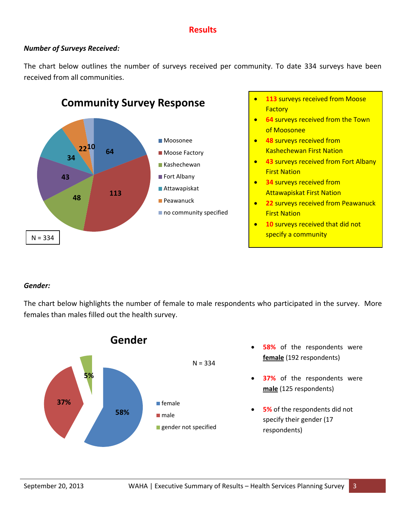# **Results**

## *Number of Surveys Received:*

The chart below outlines the number of surveys received per community. To date 334 surveys have been received from all communities.



- **113** surveys received from Moose **Factory**
- **64** surveys received from the Town of Moosonee
- **48** surveys received from Kashechewan First Nation
- **43** surveys received from Fort Albany First Nation
- **8 34** surveys received from Attawapiskat First Nation
- **22** surveys received from Peawanuck First Nation
- **10** surveys received that did not

## *Gender:*

The chart below highlights the number of female to male respondents who participated in the survey. More females than males filled out the health survey.

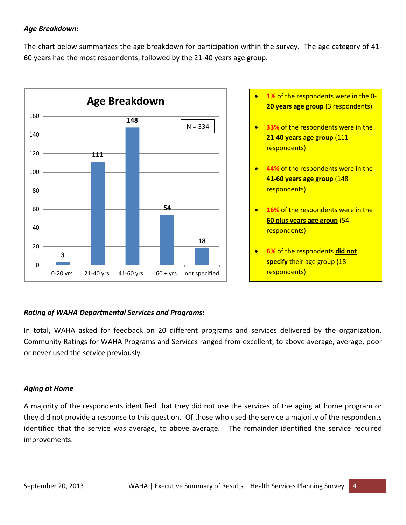## *Age Breakdown:*

The chart below summarizes the age breakdown for participation within the survey. The age category of 41- 60 years had the most respondents, followed by the 21-40 years age group.



- **20 years age group** (3 respondents)
- **33%** of the respondents were in the **21-40 years age group** (111 respondents)
- **44%** of the respondents were in the **41-60 years age group** (148 respondents)
- **16%** of the respondents were in the **60 plus years age group** (54 respondents)
- **6%** of the respondents **did not specify** their age group (18 respondents)

## *Rating of WAHA Departmental Services and Programs:*

In total, WAHA asked for feedback on 20 different programs and services delivered by the organization. Community Ratings for WAHA Programs and Services ranged from excellent, to above average, average, poor or never used the service previously.

## *Aging at Home*

A majority of the respondents identified that they did not use the services of the aging at home program or they did not provide a response to this question. Of those who used the service a majority of the respondents identified that the service was average, to above average. The remainder identified the service required improvements.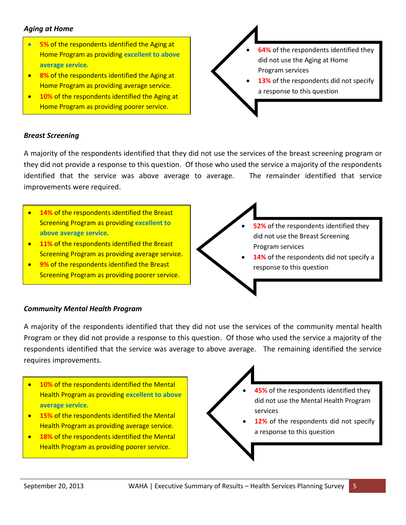## *Aging at Home*

- **5%** of the respondents identified the Aging at Home Program as providing **excellent to above average service.**
- **8%** of the respondents identified the Aging at Home Program as providing average service.
- **10%** of the respondents identified the Aging at Home Program as providing poorer service.
- **64%** of the respondents identified they did not use the Aging at Home Program services **13%** of the respondents did not specify a response to this question

## *Breast Screening*

A majority of the respondents identified that they did not use the services of the breast screening program or they did not provide a response to this question. Of those who used the service a majority of the respondents identified that the service was above average to average. The remainder identified that service improvements were required.

- **14%** of the respondents identified the Breast Screening Program as providing **excellent to above average service.**
- **11%** of the respondents identified the Breast Screening Program as providing average service.
- **9%** of the respondents identified the Breast Screening Program as providing poorer service.
- **52%** of the respondents identified they did not use the Breast Screening Program services **14%** of the respondents did not specify a response to this question

## *Community Mental Health Program*

A majority of the respondents identified that they did not use the services of the community mental health Program or they did not provide a response to this question. Of those who used the service a majority of the respondents identified that the service was average to above average. The remaining identified the service requires improvements.

- **10%** of the respondents identified the Mental Health Program as providing **excellent to above average service**.
- **15%** of the respondents identified the Mental Health Program as providing average service.
- **18%** of the respondents identified the Mental Health Program as providing poorer service.
- **45%** of the respondents identified they did not use the Mental Health Program services **12%** of the respondents did not specify
	- a response to this question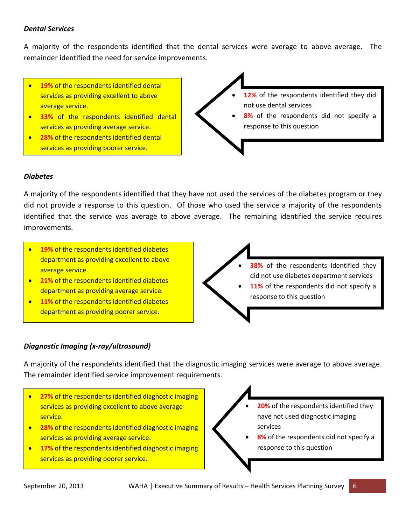## *Dental Services*

A majority of the respondents identified that the dental services were average to above average. The remainder identified the need for service improvements.

- **19%** of the respondents identified dental services as providing excellent to above average service.
- **33%** of the respondents identified dental services as providing average service.
- **28%** of the respondents identified dental services as providing poorer service.



## *Diabetes*

A majority of the respondents identified that they have not used the services of the diabetes program or they did not provide a response to this question. Of those who used the service a majority of the respondents identified that the service was average to above average. The remaining identified the service requires improvements.

- **19%** of the respondents identified diabetes department as providing excellent to above average service.
- **21%** of the respondents identified diabetes department as providing average service.
- **11%** of the respondents identified diabetes department as providing poorer service.

 **38%** of the respondents identified they did not use diabetes department services

11% of the respondents did not specify a response to this question

## *Diagnostic Imaging (x-ray/ultrasound)*

A majority of the respondents identified that the diagnostic imaging services were average to above average. The remainder identified service improvement requirements.

- **27%** of the respondents identified diagnostic imaging services as providing excellent to above average service.
- **28% of the respondents identified diagnostic imaging** services as providing average service.
- **17%** of the respondents identified diagnostic imaging services as providing poorer service.
- **20%** of the respondents identified they have not used diagnostic imaging services
- **8%** of the respondents did not specify a response to this question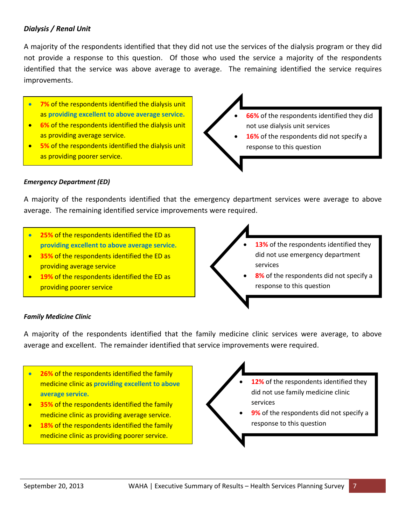## *Dialysis / Renal Unit*

A majority of the respondents identified that they did not use the services of the dialysis program or they did not provide a response to this question. Of those who used the service a majority of the respondents identified that the service was above average to average. The remaining identified the service requires improvements.

- **7%** of the respondents identified the dialysis unit as **providing excellent to above average service.**
- **6%** of the respondents identified the dialysis unit as providing average service.
- **5%** of the respondents identified the dialysis unit as providing poorer service.



## *Emergency Department (ED)*

A majority of the respondents identified that the emergency department services were average to above average. The remaining identified service improvements were required.

- **25%** of the respondents identified the ED as **providing excellent to above average service.**
- **<sup>35%</sup>** of the respondents identified the ED as providing average service
- **19%** of the respondents identified the ED as providing poorer service
- **13%** of the respondents identified they did not use emergency department services **8%** of the respondents did not specify a response to this question

## *Family Medicine Clinic*

A majority of the respondents identified that the family medicine clinic services were average, to above average and excellent. The remainder identified that service improvements were required.

- **26%** of the respondents identified the family medicine clinic as **providing excellent to above average service.**
- **35%** of the respondents identified the family medicine clinic as providing average service.
- **Instrumental Properties 18%** of the respondents identified the family medicine clinic as providing poorer service.

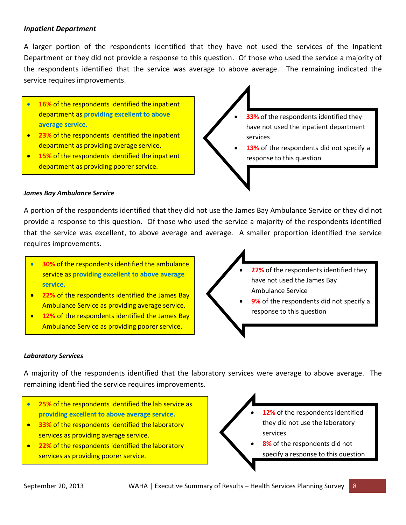## *Inpatient Department*

A larger portion of the respondents identified that they have not used the services of the Inpatient Department or they did not provide a response to this question. Of those who used the service a majority of the respondents identified that the service was average to above average. The remaining indicated the service requires improvements.

- **16%** of the respondents identified the inpatient department as **providing excellent to above average service.**
- **23%** of the respondents identified the inpatient department as providing average service.
- **15%** of the respondents identified the inpatient department as providing poorer service.

 **33%** of the respondents identified they have not used the inpatient department services

13% of the respondents did not specify a response to this question

#### *James Bay Ambulance Service*

Ξ

A portion of the respondents identified that they did not use the James Bay Ambulance Service or they did not provide a response to this question. Of those who used the service a majority of the respondents identified that the service was excellent, to above average and average. A smaller proportion identified the service requires improvements.

- **30%** of the respondents identified the ambulance service as **providing excellent to above average service.**
- **22%** of the respondents identified the James Bay Ambulance Service as providing average service.
- **12%** of the respondents identified the James Bay Ambulance Service as providing poorer service.

 **27%** of the respondents identified they have not used the James Bay Ambulance Service

**9%** of the respondents did not specify a response to this question

#### *Laboratory Services*

٦

A majority of the respondents identified that the laboratory services were average to above average. The remaining identified the service requires improvements.

- **25%** of the respondents identified the lab service as **providing excellent to above average service.**
- **<sup>8</sup>33% of the respondents identified the laboratory** services as providing average service.
- **22%** of the respondents identified the laboratory services as providing poorer service.
- **12%** of the respondents identified they did not use the laboratory services
	- **8%** of the respondents did not specify a response to this question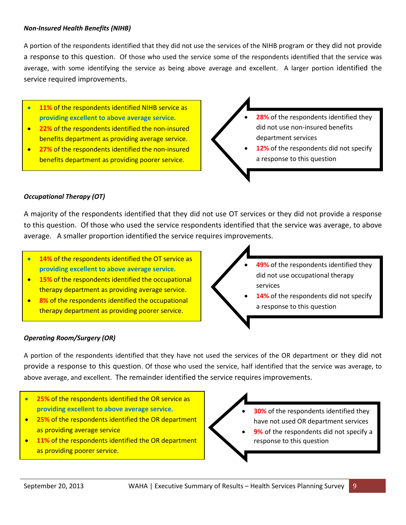#### *Non-Insured Health Benefits (NIHB)*

A portion of the respondents identified that they did not use the services of the NIHB program or they did not provide a response to this question. Of those who used the service some of the respondents identified that the service was average, with some identifying the service as being above average and excellent. A larger portion identified the service required improvements.

- **11%** of the respondents identified NIHB service as **providing excellent to above average service.**
- **22%** of the respondents identified the non-insured benefits department as providing average service.
- **27%** of the respondents identified the non-insured benefits department as providing poorer service.

 **28%** of the respondents identified they did not use non-insured benefits department services

 **12%** of the respondents did not specify a response to this question

#### *Occupational Therapy (OT)*

A majority of the respondents identified that they did not use OT services or they did not provide a response to this question. Of those who used the service respondents identified that the service was average, to above average. A smaller proportion identified the service requires improvements.

- **14%** of the respondents identified the OT service as **providing excellent to above average service.**
- **15%** of the respondents identified the occupational therapy department as providing average service.
- **8%** of the respondents identified the occupational therapy department as providing poorer service.
- **49%** of the respondents identified they did not use occupational therapy services
- **14%** of the respondents did not specify a response to this question

## *Operating Room/Surgery (OR)*

A portion of the respondents identified that they have not used the services of the OR department or they did not provide a response to this question. Of those who used the service, half identified that the service was average, to above average, and excellent. The remainder identified the service requires improvements.

- **25%** of the respondents identified the OR service as **providing excellent to above average service.**
- **25%** of the respondents identified the OR department as providing average service
- **11%** of the respondents identified the OR department as providing poorer service.

 **30%** of the respondents identified they have not used OR department services

**9%** of the respondents did not specify a response to this question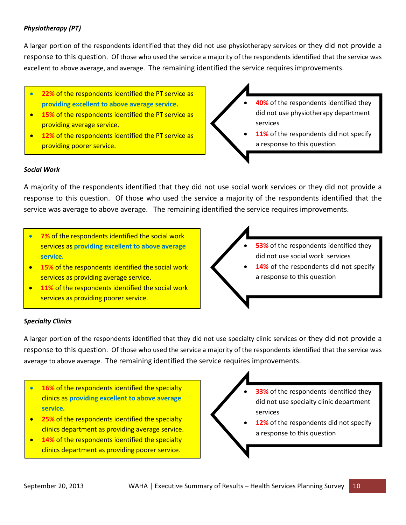## *Physiotherapy (PT)*

A larger portion of the respondents identified that they did not use physiotherapy services or they did not provide a response to this question. Of those who used the service a majority of the respondents identified that the service was excellent to above average, and average. The remaining identified the service requires improvements.

- **22%** of the respondents identified the PT service as **providing excellent to above average service.**
- **15%** of the respondents identified the PT service as providing average service.
- **12%** of the respondents identified the PT service as providing poorer service.
- **40%** of the respondents identified they did not use physiotherapy department services
- **11%** of the respondents did not specify a response to this question

#### *Social Work*

A majority of the respondents identified that they did not use social work services or they did not provide a response to this question. Of those who used the service a majority of the respondents identified that the service was average to above average. The remaining identified the service requires improvements.

- **7%** of the respondents identified the social work services as **providing excellent to above average service.**
- **15%** of the respondents identified the social work services as providing average service.
- **11%** of the respondents identified the social work services as providing poorer service.

 **53%** of the respondents identified they did not use social work services **14%** of the respondents did not specify a response to this question

## *Specialty Clinics*

A larger portion of the respondents identified that they did not use specialty clinic services or they did not provide a response to this question. Of those who used the service a majority of the respondents identified that the service was average to above average. The remaining identified the service requires improvements.

- **16%** of the respondents identified the specialty clinics as **providing excellent to above average service.**
- **25%** of the respondents identified the specialty clinics department as providing average service.
- **14%** of the respondents identified the specialty clinics department as providing poorer service.
- **33%** of the respondents identified they did not use specialty clinic department services
- **12%** of the respondents did not specify a response to this question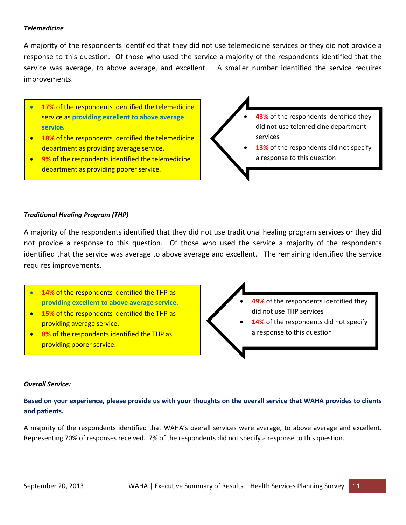### *Telemedicine*

A majority of the respondents identified that they did not use telemedicine services or they did not provide a response to this question. Of those who used the service a majority of the respondents identified that the service was average, to above average, and excellent. A smaller number identified the service requires improvements.

- **17%** of the respondents identified the telemedicine service as **providing excellent to above average service.**
- **18%** of the respondents identified the telemedicine department as providing average service.
- **9%** of the respondents identified the telemedicine department as providing poorer service.



#### *Traditional Healing Program (THP)*

A majority of the respondents identified that they did not use traditional healing program services or they did not provide a response to this question. Of those who used the service a majority of the respondents identified that the service was average to above average and excellent. The remaining identified the service requires improvements.

- **14%** of the respondents identified the THP as **providing excellent to above average service.**
- **15%** of the respondents identified the THP as providing average service.
- **8%** of the respondents identified the THP as providing poorer service.
- **49%** of the respondents identified they did not use THP services
- **14%** of the respondents did not specify a response to this question

#### *Overall Service:*

**Based on your experience, please provide us with your thoughts on the overall service that WAHA provides to clients and patients.**

A majority of the respondents identified that WAHA's overall services were average, to above average and excellent. Representing 70% of responses received. 7% of the respondents did not specify a response to this question.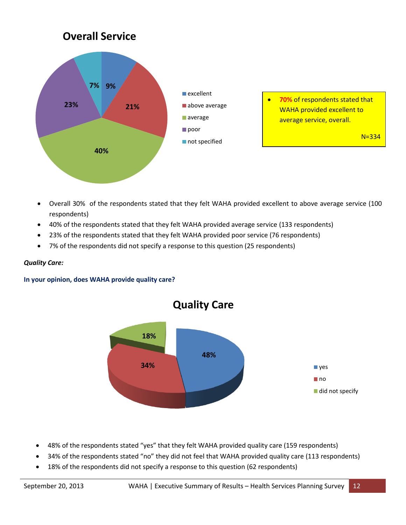

- Overall 30% of the respondents stated that they felt WAHA provided excellent to above average service (100 respondents)
- 40% of the respondents stated that they felt WAHA provided average service (133 respondents)
- 23% of the respondents stated that they felt WAHA provided poor service (76 respondents)
- 7% of the respondents did not specify a response to this question (25 respondents)

#### *Quality Care:*

#### **In your opinion, does WAHA provide quality care?**



- 48% of the respondents stated "yes" that they felt WAHA provided quality care (159 respondents)
- 34% of the respondents stated "no" they did not feel that WAHA provided quality care (113 respondents)
- 18% of the respondents did not specify a response to this question (62 respondents)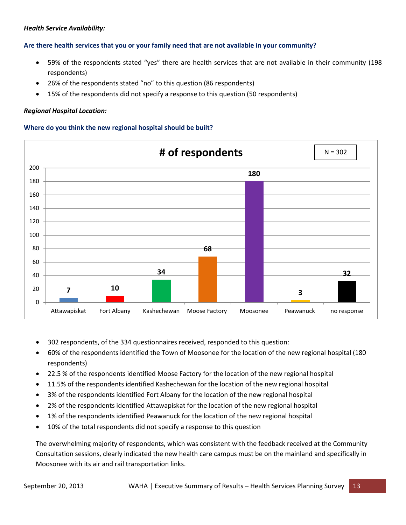#### *Health Service Availability:*

#### **Are there health services that you or your family need that are not available in your community?**

- 59% of the respondents stated "yes" there are health services that are not available in their community (198 respondents)
- 26% of the respondents stated "no" to this question (86 respondents)
- 15% of the respondents did not specify a response to this question (50 respondents)

#### *Regional Hospital Location:*

#### **Where do you think the new regional hospital should be built?**



- 302 respondents, of the 334 questionnaires received, responded to this question:
- 60% of the respondents identified the Town of Moosonee for the location of the new regional hospital (180 respondents)
- 22.5 % of the respondents identified Moose Factory for the location of the new regional hospital
- 11.5% of the respondents identified Kashechewan for the location of the new regional hospital
- 3% of the respondents identified Fort Albany for the location of the new regional hospital
- 2% of the respondents identified Attawapiskat for the location of the new regional hospital
- 1% of the respondents identified Peawanuck for the location of the new regional hospital
- 10% of the total respondents did not specify a response to this question

The overwhelming majority of respondents, which was consistent with the feedback received at the Community Consultation sessions, clearly indicated the new health care campus must be on the mainland and specifically in Moosonee with its air and rail transportation links.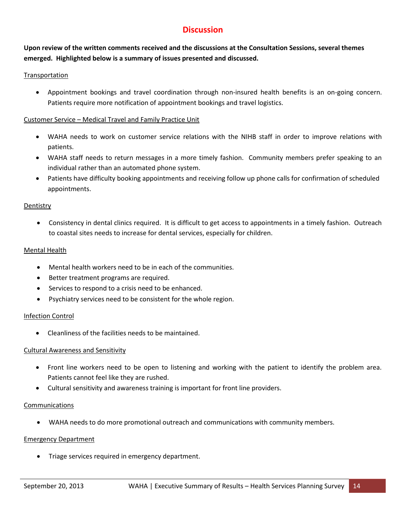# **Discussion**

## **Upon review of the written comments received and the discussions at the Consultation Sessions, several themes emerged. Highlighted below is a summary of issues presented and discussed.**

## **Transportation**

 Appointment bookings and travel coordination through non-insured health benefits is an on-going concern. Patients require more notification of appointment bookings and travel logistics.

## Customer Service – Medical Travel and Family Practice Unit

- WAHA needs to work on customer service relations with the NIHB staff in order to improve relations with patients.
- WAHA staff needs to return messages in a more timely fashion. Community members prefer speaking to an individual rather than an automated phone system.
- Patients have difficulty booking appointments and receiving follow up phone calls for confirmation of scheduled appointments.

## **Dentistry**

 Consistency in dental clinics required. It is difficult to get access to appointments in a timely fashion. Outreach to coastal sites needs to increase for dental services, especially for children.

#### Mental Health

- Mental health workers need to be in each of the communities.
- Better treatment programs are required.
- Services to respond to a crisis need to be enhanced.
- Psychiatry services need to be consistent for the whole region.

## Infection Control

Cleanliness of the facilities needs to be maintained.

## Cultural Awareness and Sensitivity

- Front line workers need to be open to listening and working with the patient to identify the problem area. Patients cannot feel like they are rushed.
- Cultural sensitivity and awareness training is important for front line providers.

#### Communications

WAHA needs to do more promotional outreach and communications with community members.

#### Emergency Department

Triage services required in emergency department.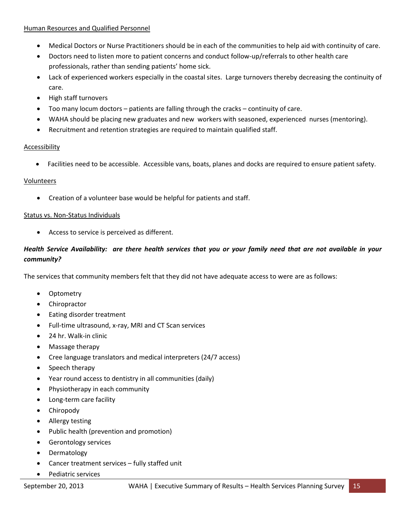#### Human Resources and Qualified Personnel

- Medical Doctors or Nurse Practitioners should be in each of the communities to help aid with continuity of care.
- Doctors need to listen more to patient concerns and conduct follow-up/referrals to other health care professionals, rather than sending patients' home sick.
- Lack of experienced workers especially in the coastal sites. Large turnovers thereby decreasing the continuity of care.
- High staff turnovers
- Too many locum doctors patients are falling through the cracks continuity of care.
- WAHA should be placing new graduates and new workers with seasoned, experienced nurses (mentoring).
- Recruitment and retention strategies are required to maintain qualified staff.

#### Accessibility

Facilities need to be accessible. Accessible vans, boats, planes and docks are required to ensure patient safety.

#### Volunteers

Creation of a volunteer base would be helpful for patients and staff.

#### Status vs. Non-Status Individuals

Access to service is perceived as different.

## *Health Service Availability: are there health services that you or your family need that are not available in your community?*

The services that community members felt that they did not have adequate access to were are as follows:

- Optometry
- Chiropractor
- Eating disorder treatment
- Full-time ultrasound, x-ray, MRI and CT Scan services
- 24 hr. Walk-in clinic
- Massage therapy
- Cree language translators and medical interpreters (24/7 access)
- Speech therapy
- Year round access to dentistry in all communities (daily)
- Physiotherapy in each community
- Long-term care facility
- Chiropody
- Allergy testing
- Public health (prevention and promotion)
- Gerontology services
- Dermatology
- Cancer treatment services fully staffed unit
- Pediatric services